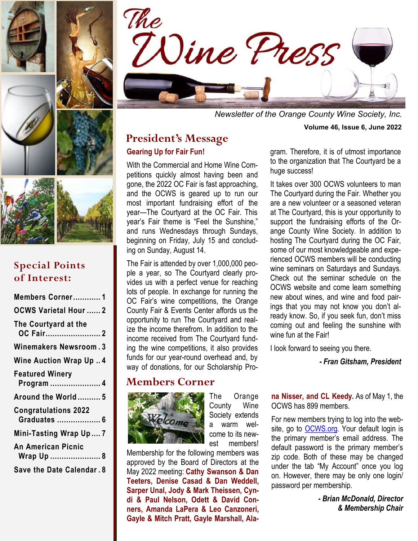

*Newsletter of the Orange County Wine Society, Inc.* **Volume 46, Issue 6, June 2022**

### **President's Message Gearing Up for Fair Fun!**

With the Commercial and Home Wine Competitions quickly almost having been and gone, the 2022 OC Fair is fast approaching, and the OCWS is geared up to run our most important fundraising effort of the year—The Courtyard at the OC Fair. This year's Fair theme is "Feel the Sunshine," and runs Wednesdays through Sundays, beginning on Friday, July 15 and concluding on Sunday, August 14.

The Fair is attended by over 1,000,000 people a year, so The Courtyard clearly provides us with a perfect venue for reaching lots of people. In exchange for running the OC Fair's wine competitions, the Orange County Fair & Events Center affords us the opportunity to run The Courtyard and realize the income therefrom. In addition to the income received from The Courtyard funding the wine competitions, it also provides funds for our year-round overhead and, by way of donations, for our Scholarship Pro-

### **Members Corner**



The Orange County Wine Society extends a warm welcome to its newest members!

Membership for the following members was approved by the Board of Directors at the May 2022 meeting: **Cathy Swanson & Dan Teeters, Denise Casad & Dan Weddell, Sarper Unal, Jody & Mark Theissen, Cyndi & Paul Nelson, Odett & David Conners, Amanda LaPera & Leo Canzoneri, Gayle & Mitch Pratt, Gayle Marshall, Ala-** gram. Therefore, it is of utmost importance to the organization that The Courtyard be a huge success!

It takes over 300 OCWS volunteers to man The Courtyard during the Fair. Whether you are a new volunteer or a seasoned veteran at The Courtyard, this is your opportunity to support the fundraising efforts of the Orange County Wine Society. In addition to hosting The Courtyard during the OC Fair, some of our most knowledgeable and experienced OCWS members will be conducting wine seminars on Saturdays and Sundays. Check out the seminar schedule on the OCWS website and come learn something new about wines, and wine and food pairings that you may not know you don't already know. So, if you seek fun, don't miss coming out and feeling the sunshine with wine fun at the Fair!

I look forward to seeing you there.

*- Fran Gitsham, President* 

**na Nisser, and CL Keedy.** As of May 1, the OCWS has 899 members.

For new members trying to log into the website, go to **OCWS.org**. Your default login is the primary member's email address. The default password is the primary member's zip code. Both of these may be changed under the tab "My Account" once you log on. However, there may be only one login/ password per membership.

> *- Brian McDonald, Director & Membership Chair*



## **Special Points of Interest:**

| Members Corner1                             |
|---------------------------------------------|
| <b>OCWS Varietal Hour 2</b>                 |
| The Courtyard at the<br>OC Fair2            |
| Winemakers Newsroom.3                       |
| <b>Wine Auction Wrap Up4</b>                |
| <b>Featured Winery</b><br>Program  4        |
| Around the World  5                         |
| <b>Congratulations 2022</b><br>Graduates  6 |
| Mini-Tasting Wrap Up7                       |
| <b>An American Picnic</b><br>Wrap Up  8     |
| Save the Date Calendar. 8                   |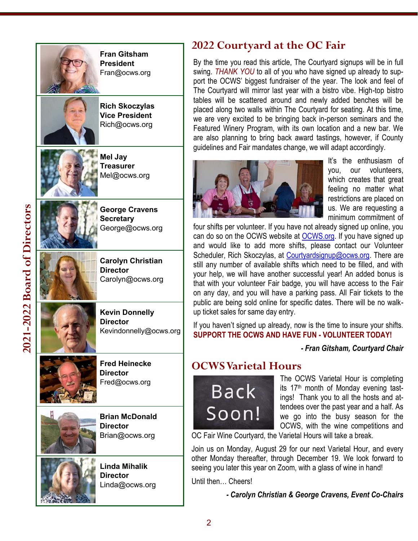

## **2022 Courtyard at the OC Fair**

By the time you read this article, The Courtyard signups will be in full swing. *THANK YOU* to all of you who have signed up already to support the OCWS' biggest fundraiser of the year. The look and feel of The Courtyard will mirror last year with a bistro vibe. High -top bistro tables will be scattered around and newly added benches will be placed along two walls within The Courtyard for seating. At this time, we are very excited to be bringing back in -person seminars and the Featured Winery Program, with its own location and a new bar. We are also planning to bring back award tastings, however, if County guidelines and Fair mandates change, we will adapt accordingly.



It's the enthusiasm of you, our volunteers, which creates that great feeling no matter what restrictions are placed on us. We are requesting a minimum commitment of

four shifts per volunteer. If you have not already signed up online, you can do so on the OCWS website at [OCWS.org.](mailto:OCWS.org) If you have signed up and would like to add more shifts, please contact our Volunteer Scheduler, Rich Skoczylas, at [Courtyardsignup@ocws.org.](mailto:Courtyardsignup@ocws.org) There are still any number of available shifts which need to be filled, and with your help, we will have another successful year! An added bonus is that with your volunteer Fair badge, you will have access to the Fair on any day, and you will have a parking pass. All Fair tickets to the public are being sold online for specific dates. There will be no walk up ticket sales for same day entry.

If you haven't signed up already, now is the time to insure your shifts. **SUPPORT THE OCWS AND HAVE FUN - VOLUNTEER TODAY!** 

### *- Fran Gitsham, Courtyard Chair*

## **OCWS Varietal Hours**



The OCWS Varietal Hour is completing its 17<sup>th</sup> month of Monday evening tastings! Thank you to all the hosts and attendees over the past year and a half. As we go into the busy season for the OCWS, with the wine competitions and

OC Fair Wine Courtyard, the Varietal Hours will take a break.

Join us on Monday, August 29 for our next Varietal Hour, and every other Monday thereafter, through December 19. We look forward to seeing you later this year on Zoom, with a glass of wine in hand!

Until then… Cheers!

*- Carolyn Christian & George Cravens, Event Co -Chairs*

2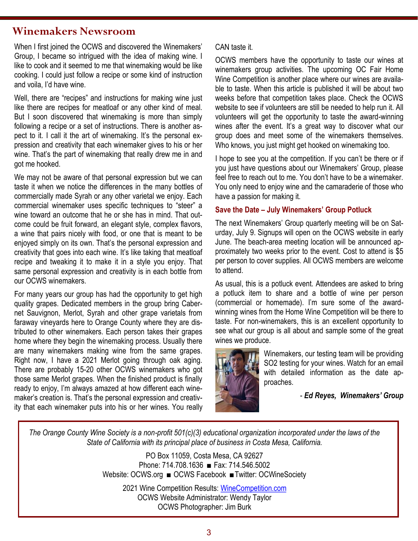### **Winemakers Newsroom**

When I first joined the OCWS and discovered the Winemakers' Group, I became so intrigued with the idea of making wine. I like to cook and it seemed to me that winemaking would be like cooking. I could just follow a recipe or some kind of instruction and voila, I'd have wine.

Well, there are "recipes" and instructions for making wine just like there are recipes for meatloaf or any other kind of meal. But I soon discovered that winemaking is more than simply following a recipe or a set of instructions. There is another aspect to it. I call it the art of winemaking. It's the personal expression and creativity that each winemaker gives to his or her wine. That's the part of winemaking that really drew me in and got me hooked.

We may not be aware of that personal expression but we can taste it when we notice the differences in the many bottles of commercially made Syrah or any other varietal we enjoy. Each commercial winemaker uses specific techniques to "steer" a wine toward an outcome that he or she has in mind. That outcome could be fruit forward, an elegant style, complex flavors, a wine that pairs nicely with food, or one that is meant to be enjoyed simply on its own. That's the personal expression and creativity that goes into each wine. It's like taking that meatloaf recipe and tweaking it to make it in a style you enjoy. That same personal expression and creativity is in each bottle from our OCWS winemakers.

For many years our group has had the opportunity to get high quality grapes. Dedicated members in the group bring Cabernet Sauvignon, Merlot, Syrah and other grape varietals from faraway vineyards here to Orange County where they are distributed to other winemakers. Each person takes their grapes home where they begin the winemaking process. Usually there are many winemakers making wine from the same grapes. Right now, I have a 2021 Merlot going through oak aging. There are probably 15-20 other OCWS winemakers who got those same Merlot grapes. When the finished product is finally ready to enjoy, I'm always amazed at how different each winemaker's creation is. That's the personal expression and creativity that each winemaker puts into his or her wines. You really

#### CAN taste it.

OCWS members have the opportunity to taste our wines at winemakers group activities. The upcoming OC Fair Home Wine Competition is another place where our wines are available to taste. When this article is published it will be about two weeks before that competition takes place. Check the OCWS website to see if volunteers are still be needed to help run it. All volunteers will get the opportunity to taste the award-winning wines after the event. It's a great way to discover what our group does and meet some of the winemakers themselves. Who knows, you just might get hooked on winemaking too.

I hope to see you at the competition. If you can't be there or if you just have questions about our Winemakers' Group, please feel free to reach out to me. You don't have to be a winemaker. You only need to enjoy wine and the camaraderie of those who have a passion for making it.

#### **Save the Date – July Winemakers' Group Potluck**

The next Winemakers' Group quarterly meeting will be on Saturday, July 9. Signups will open on the OCWS website in early June. The beach-area meeting location will be announced approximately two weeks prior to the event. Cost to attend is \$5 per person to cover supplies. All OCWS members are welcome to attend.

As usual, this is a potluck event. Attendees are asked to bring a potluck item to share and a bottle of wine per person (commercial or homemade). I'm sure some of the awardwinning wines from the Home Wine Competition will be there to taste. For non-winemakers, this is an excellent opportunity to see what our group is all about and sample some of the great wines we produce.



Winemakers, our testing team will be providing SO2 testing for your wines. Watch for an email with detailed information as the date approaches.

- *Ed Reyes, Winemakers' Group*

*The Orange County Wine Society is a non-profit 501(c)(3) educational organization incorporated under the laws of the State of California with its principal place of business in Costa Mesa, California.* 

> PO Box 11059, Costa Mesa, CA 92627 Phone: 714.708.1636 ■ Fax: 714.546.5002 Website: OCWS.org ■ OCWS Facebook ■Twitter: OCWineSociety

2021 Wine Competition Results: [WineCompetition.com](https://winecompetition.com/) OCWS Website Administrator: Wendy Taylor OCWS Photographer: Jim Burk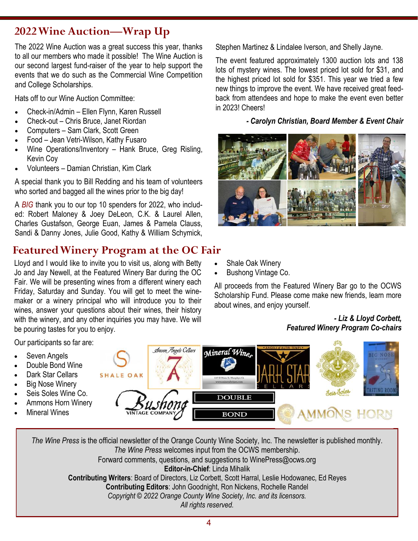# **2022 Wine Auction—Wrap Up**

The 2022 Wine Auction was a great success this year, thanks to all our members who made it possible! The Wine Auction is our second largest fund-raiser of the year to help support the events that we do such as the Commercial Wine Competition and College Scholarships.

Hats off to our Wine Auction Committee:

- Check-in/Admin Ellen Flynn, Karen Russell
- Check-out Chris Bruce, Janet Riordan
- Computers Sam Clark, Scott Green
- Food Jean Vetri-Wilson, Kathy Fusaro
- Wine Operations/Inventory Hank Bruce, Greg Risling, Kevin Coy
- Volunteers Damian Christian, Kim Clark

A special thank you to Bill Redding and his team of volunteers who sorted and bagged all the wines prior to the big day!

A *BIG* thank you to our top 10 spenders for 2022, who included: Robert Maloney & Joey DeLeon, C.K. & Laurel Allen, Charles Gustafson, George Euan, James & Pamela Clauss, Sandi & Danny Jones, Julie Good, Kathy & William Schymick,

# **Featured Winery Program at the OC Fair**

Lloyd and I would like to invite you to visit us, along with Betty Jo and Jay Newell, at the Featured Winery Bar during the OC Fair. We will be presenting wines from a different winery each Friday, Saturday and Sunday. You will get to meet the winemaker or a winery principal who will introduce you to their wines, answer your questions about their wines, their history with the winery, and any other inquiries you may have. We will be pouring tastes for you to enjoy.

Stephen Martinez & Lindalee Iverson, and Shelly Jayne.

The event featured approximately 1300 auction lots and 138 lots of mystery wines. The lowest priced lot sold for \$31, and the highest priced lot sold for \$351. This year we tried a few new things to improve the event. We have received great feedback from attendees and hope to make the event even better in 2023! Cheers!

*- Carolyn Christian, Board Member & Event Chair*



- Shale Oak Winery
- Bushong Vintage Co.

All proceeds from the Featured Winery Bar go to the OCWS Scholarship Fund. Please come make new friends, learn more about wines, and enjoy yourself.

#### *- Liz & Lloyd Corbett, Featured Winery Program Co-chairs*

Our participants so far are: Seven Angels Cellars Mineral Wine Seven Angels Double Bond Wine Dark Star Cellars **SHALE OAK**  Big Nose Winery Seis Soles Seis Soles Wine Co. **DOUBLE**  Ammons Horn Winery Mineral Wines **BOND** 

*The Wine Press* is the official newsletter of the Orange County Wine Society, Inc. The newsletter is published monthly. *The Wine Press* welcomes input from the OCWS membership. Forward comments, questions, and suggestions to WinePress@ocws.org **Editor-in-Chief**: Linda Mihalik **Contributing Writers**: Board of Directors, Liz Corbett, Scott Harral, Leslie Hodowanec, Ed Reyes **Contributing Editors**: John Goodnight, Ron Nickens, Rochelle Randel *Copyright © 2022 Orange County Wine Society, Inc. and its licensors. All rights reserved.* 

4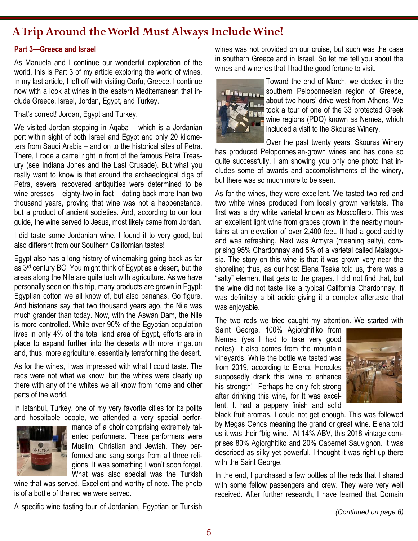## **A Trip Around the World Must Always Include Wine!**

#### **Part 3—Greece and Israel**

As Manuela and I continue our wonderful exploration of the world, this is Part 3 of my article exploring the world of wines. In my last article, I left off with visiting Corfu, Greece. I continue now with a look at wines in the eastern Mediterranean that include Greece, Israel, Jordan, Egypt, and Turkey.

That's correct! Jordan, Egypt and Turkey.

We visited Jordan stopping in Aqaba – which is a Jordanian port within sight of both Israel and Egypt and only 20 kilometers from Saudi Arabia – and on to the historical sites of Petra. There, I rode a camel right in front of the famous Petra Treasury (see Indiana Jones and the Last Crusade). But what you really want to know is that around the archaeological digs of Petra, several recovered antiquities were determined to be wine presses – eighty-two in fact – dating back more than two thousand years, proving that wine was not a happenstance, but a product of ancient societies. And, according to our tour guide, the wine served to Jesus, most likely came from Jordan.

I did taste some Jordanian wine. I found it to very good, but also different from our Southern Californian tastes!

Egypt also has a long history of winemaking going back as far as 3rd century BC. You might think of Egypt as a desert, but the areas along the Nile are quite lush with agriculture. As we have personally seen on this trip, many products are grown in Egypt: Egyptian cotton we all know of, but also bananas. Go figure. And historians say that two thousand years ago, the Nile was much grander than today. Now, with the Aswan Dam, the Nile is more controlled. While over 90% of the Egyptian population lives in only 4% of the total land area of Egypt, efforts are in place to expand further into the deserts with more irrigation and, thus, more agriculture, essentially terraforming the desert.

As for the wines, I was impressed with what I could taste. The reds were not what we know, but the whites were clearly up there with any of the whites we all know from home and other parts of the world.

In Istanbul, Turkey, one of my very favorite cities for its polite and hospitable people, we attended a very special perfor-



mance of a choir comprising extremely talented performers. These performers were Muslim, Christian and Jewish. They performed and sang songs from all three religions. It was something I won't soon forget. What was also special was the Turkish

wine that was served. Excellent and worthy of note. The photo is of a bottle of the red we were served.

A specific wine tasting tour of Jordanian, Egyptian or Turkish

wines was not provided on our cruise, but such was the case in southern Greece and in Israel. So let me tell you about the wines and wineries that I had the good fortune to visit.



Toward the end of March, we docked in the southern Peloponnesian region of Greece, about two hours' drive west from Athens. We took a tour of one of the 33 protected Greek wine regions (PDO) known as Nemea, which included a visit to the Skouras Winery.

Over the past twenty years, Skouras Winery has produced Peloponnesian-grown wines and has done so quite successfully. I am showing you only one photo that includes some of awards and accomplishments of the winery, but there was so much more to be seen.

As for the wines, they were excellent. We tasted two red and two white wines produced from locally grown varietals. The first was a dry white varietal known as Moscofilero. This was an excellent light wine from grapes grown in the nearby mountains at an elevation of over 2,400 feet. It had a good acidity and was refreshing. Next was Armyra (meaning salty), comprising 95% Chardonnay and 5% of a varietal called Malagousia. The story on this wine is that it was grown very near the shoreline; thus, as our host Elena Tsaka told us, there was a "salty" element that gets to the grapes. I did not find that, but the wine did not taste like a typical California Chardonnay. It was definitely a bit acidic giving it a complex aftertaste that was enjoyable.

The two reds we tried caught my attention. We started with

Saint George, 100% Agiorghitiko from Nemea (yes I had to take very good notes). It also comes from the mountain vineyards. While the bottle we tasted was from 2019, according to Elena, Hercules supposedly drank this wine to enhance his strength! Perhaps he only felt strong after drinking this wine, for It was excellent. It had a peppery finish and solid



black fruit aromas. I could not get enough. This was followed by Megas Oenos meaning the grand or great wine. Elena told us it was their "big wine." At 14% ABV, this 2018 vintage comprises 80% Agiorghitiko and 20% Cabernet Sauvignon. It was described as silky yet powerful. I thought it was right up there with the Saint George.

In the end, I purchased a few bottles of the reds that I shared with some fellow passengers and crew. They were very well received. After further research, I have learned that Domain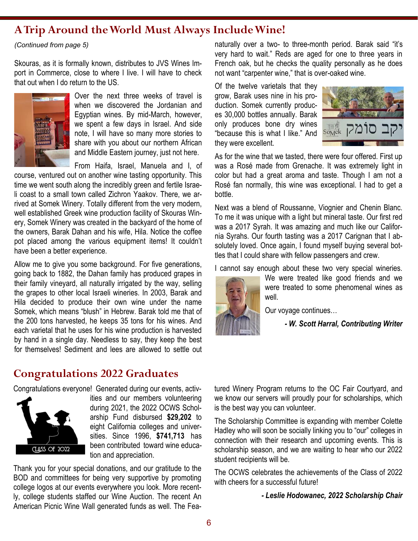## **A Trip Around the World Must Always Include Wine!**

*(Continued from page 5)*

Skouras, as it is formally known, distributes to JVS Wines Import in Commerce, close to where I live. I will have to check that out when I do return to the US.



Over the next three weeks of travel is when we discovered the Jordanian and Egyptian wines. By mid-March, however, we spent a few days in Israel. And side note, I will have so many more stories to share with you about our northern African and Middle Eastern journey, just not here.

From Haifa, Israel, Manuela and I, of

course, ventured out on another wine tasting opportunity. This time we went south along the incredibly green and fertile Israeli coast to a small town called Zichron Yaakov. There, we arrived at Somek Winery. Totally different from the very modern, well established Greek wine production facility of Skouras Winery, Somek Winery was created in the backyard of the home of the owners, Barak Dahan and his wife, Hila. Notice the coffee pot placed among the various equipment items! It couldn't have been a better experience.

Allow me to give you some background. For five generations, going back to 1882, the Dahan family has produced grapes in their family vineyard, all naturally irrigated by the way, selling the grapes to other local Israeli wineries. In 2003, Barak and Hila decided to produce their own wine under the name Somek, which means "blush" in Hebrew. Barak told me that of the 200 tons harvested, he keeps 35 tons for his wines. And each varietal that he uses for his wine production is harvested by hand in a single day. Needless to say, they keep the best for themselves! Sediment and lees are allowed to settle out

## **Congratulations 2022 Graduates**

Congratulations everyone! Generated during our events, activ-



ities and our members volunteering during 2021, the 2022 OCWS Scholarship Fund disbursed **\$29,202** to eight California colleges and universities. Since 1996, **\$741,713** has been contributed toward wine education and appreciation.

Thank you for your special donations, and our gratitude to the BOD and committees for being very supportive by promoting college logos at our events everywhere you look. More recently, college students staffed our Wine Auction. The recent An American Picnic Wine Wall generated funds as well. The Feanaturally over a two- to three-month period. Barak said "it's very hard to wait." Reds are aged for one to three years in French oak, but he checks the quality personally as he does not want "carpenter wine," that is over-oaked wine.

Of the twelve varietals that they grow, Barak uses nine in his production. Somek currently produces 30,000 bottles annually. Barak only produces bone dry wines "because this is what I like." And they were excellent.



As for the wine that we tasted, there were four offered. First up was a Rosé made from Grenache. It was extremely light in color but had a great aroma and taste. Though I am not a Rosé fan normally, this wine was exceptional. I had to get a bottle.

Next was a blend of Roussanne, Viognier and Chenin Blanc. To me it was unique with a light but mineral taste. Our first red was a 2017 Syrah. It was amazing and much like our California Syrahs. Our fourth tasting was a 2017 Carignan that I absolutely loved. Once again, I found myself buying several bottles that I could share with fellow passengers and crew.

I cannot say enough about these two very special wineries.



We were treated like good friends and we were treated to some phenomenal wines as well.

Our voyage continues…

*- W. Scott Harral, Contributing Writer*

tured Winery Program returns to the OC Fair Courtyard, and we know our servers will proudly pour for scholarships, which is the best way you can volunteer.

The Scholarship Committee is expanding with member Colette Hadley who will soon be socially linking you to "our" colleges in connection with their research and upcoming events. This is scholarship season, and we are waiting to hear who our 2022 student recipients will be.

The OCWS celebrates the achievements of the Class of 2022 with cheers for a successful future!

*- Leslie Hodowanec, 2022 Scholarship Chair*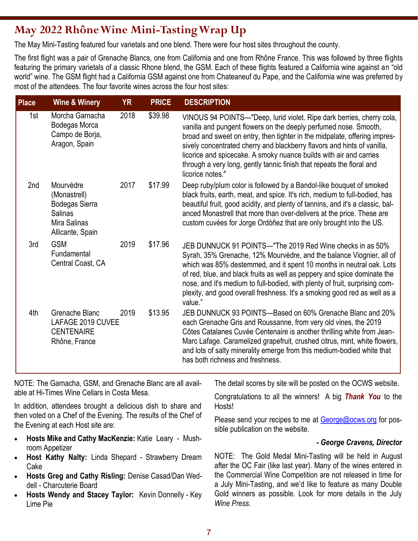# **May 2022 Rhône Wine Mini-Tasting Wrap Up**

The May Mini-Tasting featured four varietals and one blend. There were four host sites throughout the county.

The first flight was a pair of Grenache Blancs, one from California and one from Rhône France. This was followed by three flights featuring the primary varietals of a classic Rhone blend, the GSM. Each of these flights featured a California wine against an "old world" wine. The GSM flight had a California GSM against one from Chateaneuf du Pape, and the California wine was preferred by most of the attendees. The four favorite wines across the four host sites:

| <b>Place</b> | <b>Wine &amp; Winery</b>                                                                                 | <b>YR</b> | <b>PRICE</b> | <b>DESCRIPTION</b>                                                                                                                                                                                                                                                                                                                                                                                                                                                   |
|--------------|----------------------------------------------------------------------------------------------------------|-----------|--------------|----------------------------------------------------------------------------------------------------------------------------------------------------------------------------------------------------------------------------------------------------------------------------------------------------------------------------------------------------------------------------------------------------------------------------------------------------------------------|
| 1st          | Morcha Garnacha<br>Bodegas Morca<br>Campo de Borja,<br>Aragon, Spain                                     | 2018      | \$39.98      | VINOUS 94 POINTS—"Deep, lurid violet. Ripe dark berries, cherry cola,<br>vanilla and pungent flowers on the deeply perfumed nose. Smooth,<br>broad and sweet on entry, then tighter in the midpalate, offering impres-<br>sively concentrated cherry and blackberry flavors and hints of vanilla,<br>licorice and spicecake. A smoky nuance builds with air and carries<br>through a very long, gently tannic finish that repeats the floral and<br>licorice notes." |
| 2nd          | Mourvèdre<br>(Monastrell)<br><b>Bodegas Sierra</b><br><b>Salinas</b><br>Mira Salinas<br>Allicante, Spain | 2017      | \$17.99      | Deep ruby/plum color is followed by a Bandol-like bouquet of smoked<br>black fruits, earth, meat, and spice. It's rich, medium to full-bodied, has<br>beautiful fruit, good acidity, and plenty of tannins, and it's a classic, bal-<br>anced Monastrell that more than over-delivers at the price. These are<br>custom cuvées for Jorge Ordóñez that are only brought into the US.                                                                                  |
| 3rd          | <b>GSM</b><br>Fundamental<br>Central Coast, CA                                                           | 2019      | \$17.96      | JEB DUNNUCK 91 POINTS—"The 2019 Red Wine checks in as 50%<br>Syrah, 35% Grenache, 12% Mourvèdre, and the balance Viognier, all of<br>which was 85% destemmed, and it spent 10 months in neutral oak. Lots<br>of red, blue, and black fruits as well as peppery and spice dominate the<br>nose, and it's medium to full-bodied, with plenty of fruit, surprising com-<br>plexity, and good overall freshness. It's a smoking good red as well as a<br>value."         |
| 4th          | Grenache Blanc<br>LAFAGE 2019 CUVEE<br><b>CENTENAIRE</b><br>Rhône, France                                | 2019      | \$13.95      | JEB DUNNUCK 93 POINTS—Based on 60% Grenache Blanc and 20%<br>each Grenache Gris and Roussanne, from very old vines, the 2019<br>Côtes Catalanes Cuvée Centenaire is another thrilling white from Jean-<br>Marc Lafage. Caramelized grapefruit, crushed citrus, mint, white flowers,<br>and lots of salty minerality emerge from this medium-bodied white that<br>has both richness and freshness.                                                                    |

NOTE: The Garnacha, GSM, and Grenache Blanc are all available at Hi-Times Wine Cellars in Costa Mesa.

In addition, attendees brought a delicious dish to share and then voted on a Chef of the Evening. The results of the Chef of the Evening at each Host site are:

- **Hosts Mike and Cathy MacKenzie:** Katie Leary Mushroom Appetizer
- **Host Kathy Nalty:** Linda Shepard Strawberry Dream Cake
- **Hosts Greg and Cathy Risling:** Denise Casad/Dan Weddell - Charcuterie Board
- **Hosts Wendy and Stacey Taylor:** Kevin Donnelly Key Lime Pie

The detail scores by site will be posted on the OCWS website.

Congratulations to all the winners! A big *Thank You* to the Hosts!

Please send your recipes to me at [George@ocws.org](mailto:George@ocws.org) for possible publication on the website.

### *- George Cravens, Director*

NOTE: The Gold Medal Mini-Tasting will be held in August after the OC Fair (like last year). Many of the wines entered in the Commercial Wine Competition are not released in time for a July Mini-Tasting, and we'd like to feature as many Double Gold winners as possible. Look for more details in the July *Wine Press*.